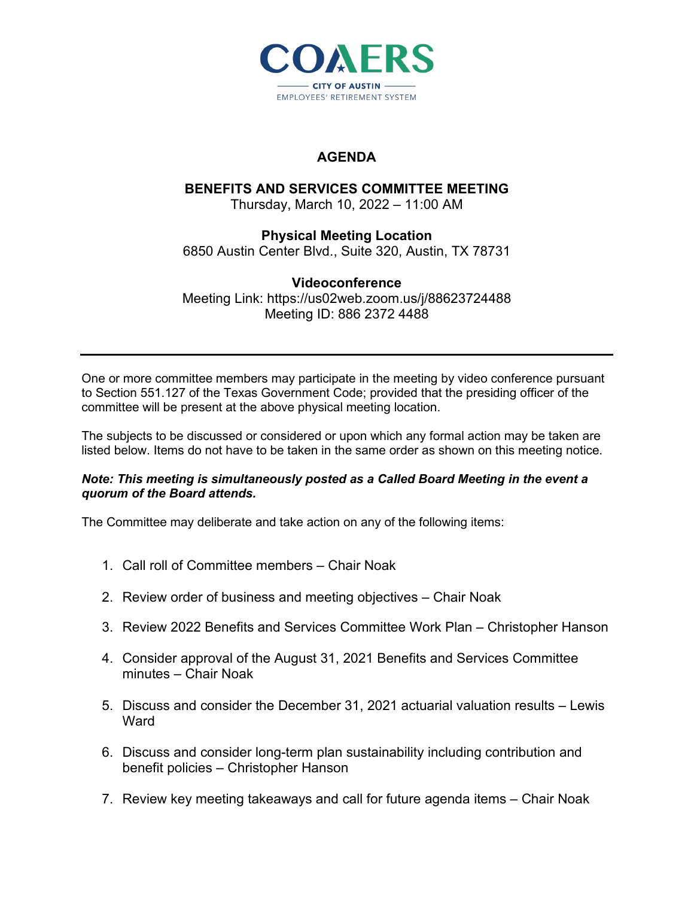

## **AGENDA**

# **BENEFITS AND SERVICES COMMITTEE MEETING**

Thursday, March 10, 2022 – 11:00 AM

#### **Physical Meeting Location** 6850 Austin Center Blvd., Suite 320, Austin, TX 78731

### **Videoconference** Meeting Link: https://us02web.zoom.us/j/88623724488 Meeting ID: 886 2372 4488

One or more committee members may participate in the meeting by video conference pursuant to Section 551.127 of the Texas Government Code; provided that the presiding officer of the committee will be present at the above physical meeting location.

The subjects to be discussed or considered or upon which any formal action may be taken are listed below. Items do not have to be taken in the same order as shown on this meeting notice.

#### *Note: This meeting is simultaneously posted as a Called Board Meeting in the event a quorum of the Board attends.*

The Committee may deliberate and take action on any of the following items:

- 1. Call roll of Committee members Chair Noak
- 2. Review order of business and meeting objectives Chair Noak
- 3. Review 2022 Benefits and Services Committee Work Plan Christopher Hanson
- 4. Consider approval of the August 31, 2021 Benefits and Services Committee minutes – Chair Noak
- 5. Discuss and consider the December 31, 2021 actuarial valuation results Lewis **Ward**
- 6. Discuss and consider long-term plan sustainability including contribution and benefit policies – Christopher Hanson
- 7. Review key meeting takeaways and call for future agenda items Chair Noak